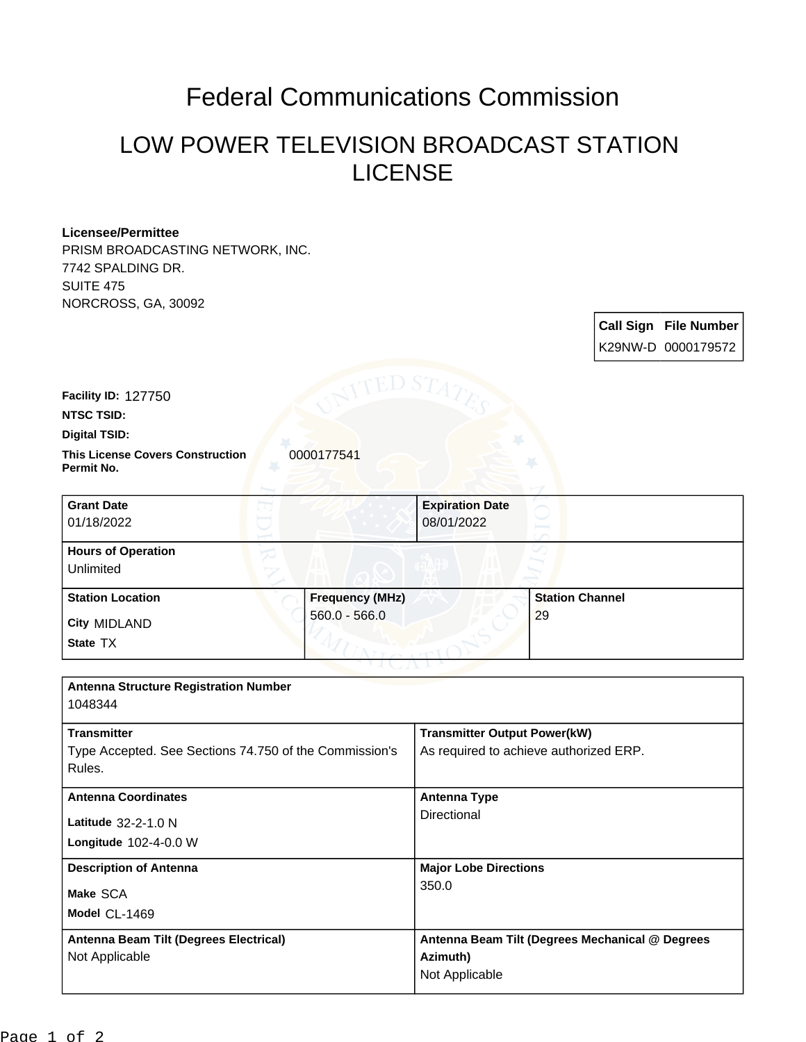## Federal Communications Commission

## LOW POWER TELEVISION BROADCAST STATION LICENSE

## **Licensee/Permittee**

PRISM BROADCASTING NETWORK, INC. 7742 SPALDING DR. SUITE 475 NORCROSS, GA, 30092

|                                                                                        |                                           |                                                                               |                              |  | <b>Call Sign File Number</b><br>K29NW-D 0000179572 |
|----------------------------------------------------------------------------------------|-------------------------------------------|-------------------------------------------------------------------------------|------------------------------|--|----------------------------------------------------|
| Facility ID: 127750<br><b>NTSC TSID:</b><br>Digital TSID:                              | TED STA                                   |                                                                               |                              |  |                                                    |
| <b>This License Covers Construction</b><br>Permit No.                                  | 0000177541                                |                                                                               |                              |  |                                                    |
| <b>Grant Date</b><br>01/18/2022                                                        |                                           | <b>Expiration Date</b><br>08/01/2022                                          |                              |  |                                                    |
| <b>Hours of Operation</b><br>Unlimited                                                 |                                           |                                                                               |                              |  |                                                    |
| <b>Station Location</b><br><b>City MIDLAND</b><br>State TX                             | <b>Frequency (MHz)</b><br>$560.0 - 566.0$ |                                                                               | <b>Station Channel</b><br>29 |  |                                                    |
| <b>Antenna Structure Registration Number</b><br>1048344                                |                                           |                                                                               |                              |  |                                                    |
| <b>Transmitter</b><br>Type Accepted. See Sections 74.750 of the Commission's<br>Rules. |                                           | <b>Transmitter Output Power(kW)</b><br>As required to achieve authorized ERP. |                              |  |                                                    |
| <b>Antenna Coordinates</b><br>Latitude 32-2-1.0 N<br>Longitude 102-4-0.0 W             |                                           | <b>Antenna Type</b><br>Directional                                            |                              |  |                                                    |
| <b>Description of Antenna</b><br>Make SCA<br>Model CL-1469                             |                                           | <b>Major Lobe Directions</b><br>350.0                                         |                              |  |                                                    |
| Antenna Beam Tilt (Degrees Electrical)<br>Not Applicable                               |                                           | Antenna Beam Tilt (Degrees Mechanical @ Degrees<br>Azimuth)<br>Not Applicable |                              |  |                                                    |